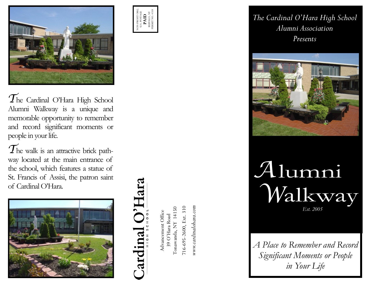

 $\mathcal{T}$ he Cardinal O'Hara High School Alumni Walkway is a unique and memorable opportunity to remember and record significant moments or people in your life.

The walk is an attractive brick pathway located at the main entrance of the school, which features a statue of St. Francis of Assisi, the patron saint of Cardinal O'Hara.





NON-PROFIT ORG. U.S. POSTAGE **PAID** BUFFALO, NY PERMIT NO. 4318

> Advancement Office<br>39 O'Hara Road<br>Tonawanda, NY 14150 Tonawanda, NY 14150 Advancement Office 39 O'Hara Road

 $716-695-2600$ , Ext. 310 716-695-2600, Ext. 310 www.cardinalohara.com *www.cardinalohara.com* *The Cardinal O'Hara High School Alumni Association Presents*



## *W Est. 2005 A*

*A Place to Remember and Record Significant Moments or People in Your Life*